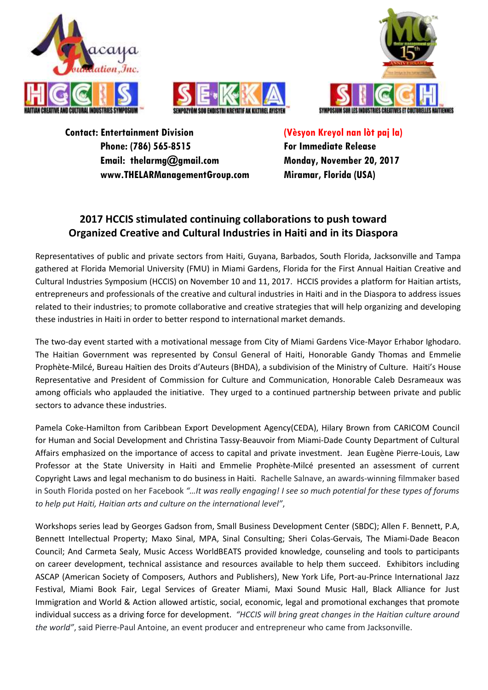





**Contact: Entertainment Division Phone: (786) 565-8515 Email: thelarmg@gmail.com www.THELARManagementGroup.com** **(Vèsyon Kreyol nan lòt paj la) For Immediate Release Monday, November 20, 2017 Miramar, Florida (USA)**

## **2017 HCCIS stimulated continuing collaborations to push toward Organized Creative and Cultural Industries in Haiti and in its Diaspora**

Representatives of public and private sectors from Haiti, Guyana, Barbados, South Florida, Jacksonville and Tampa gathered at Florida Memorial University (FMU) in Miami Gardens, Florida for the First Annual Haitian Creative and Cultural Industries Symposium (HCCIS) on November 10 and 11, 2017. HCCIS provides a platform for Haitian artists, entrepreneurs and professionals of the creative and cultural industries in Haiti and in the Diaspora to address issues related to their industries; to promote collaborative and creative strategies that will help organizing and developing these industries in Haiti in order to better respond to international market demands.

The two-day event started with a motivational message from City of Miami Gardens Vice-Mayor Erhabor Ighodaro. The Haitian Government was represented by Consul General of Haiti, Honorable Gandy Thomas and Emmelie Prophète-Milcé, Bureau Haïtien des Droits d'Auteurs (BHDA), a subdivision of the Ministry of Culture. Haiti's House Representative and President of Commission for Culture and Communication, Honorable Caleb Desrameaux was among officials who applauded the initiative. They urged to a continued partnership between private and public sectors to advance these industries.

Pamela Coke-Hamilton from Caribbean Export Development Agency(CEDA), Hilary Brown from CARICOM Council for Human and Social Development and Christina Tassy-Beauvoir from Miami-Dade County Department of Cultural Affairs emphasized on the importance of access to capital and private investment. Jean Eugène Pierre-Louis, Law Professor at the State University in Haiti and Emmelie Prophète-Milcé presented an assessment of current Copyright Laws and legal mechanism to do business in Haiti. Rachelle Salnave, an awards-winning filmmaker based in South Florida posted on her Facebook *"…It was really engaging! I see so much potential for these types of forums to help put Haiti, Haitian arts and culture on the international level"*,

Workshops series lead by Georges Gadson from, Small Business Development Center (SBDC); Allen F. Bennett, P.A, Bennett Intellectual Property; Maxo Sinal, MPA, Sinal Consulting; Sheri Colas-Gervais, The Miami-Dade Beacon Council; And Carmeta Sealy, Music Access WorldBEATS provided knowledge, counseling and tools to participants on career development, technical assistance and resources available to help them succeed. Exhibitors including ASCAP (American Society of Composers, Authors and Publishers), New York Life, Port-au-Prince International Jazz Festival, Miami Book Fair, Legal Services of Greater Miami, Maxi Sound Music Hall, Black Alliance for Just Immigration and World & Action allowed artistic, social, economic, legal and promotional exchanges that promote individual success as a driving force for development. *"HCCIS will bring great changes in the Haitian culture around the world"*, said Pierre-Paul Antoine, an event producer and entrepreneur who came from Jacksonville.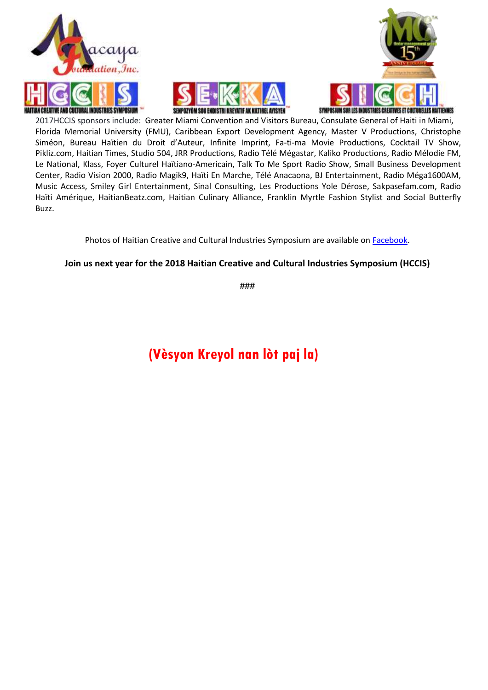





2017HCCIS sponsors include: Greater Miami Convention and Visitors Bureau, Consulate General of Haiti in Miami, Florida Memorial University (FMU), Caribbean Export Development Agency, Master V Productions, Christophe Siméon, Bureau Haïtien du Droit d'Auteur, Infinite Imprint, Fa-ti-ma Movie Productions, Cocktail TV Show, Pikliz.com, Haitian Times, Studio 504, JRR Productions, Radio Télé Mégastar, Kaliko Productions, Radio Mélodie FM, Le National, Klass, Foyer Culturel Haïtiano-Americain, Talk To Me Sport Radio Show, Small Business Development Center, Radio Vision 2000, Radio Magik9, Haïti En Marche, Télé Anacaona, BJ Entertainment, Radio Méga1600AM, Music Access, Smiley Girl Entertainment, Sinal Consulting, Les Productions Yole Dérose, Sakpasefam.com, Radio Haïti Amérique, HaitianBeatz.com, Haitian Culinary Alliance, Franklin Myrtle Fashion Stylist and Social Butterfly Buzz.

Photos of Haitian Creative and Cultural Industries Symposium are available on [Facebook.](https://www.facebook.com/events/305733099876116/)

#### **Join us next year for the 2018 Haitian Creative and Cultural Industries Symposium (HCCIS)**

**###**

# **(Vèsyon Kreyol nan lòt paj la)**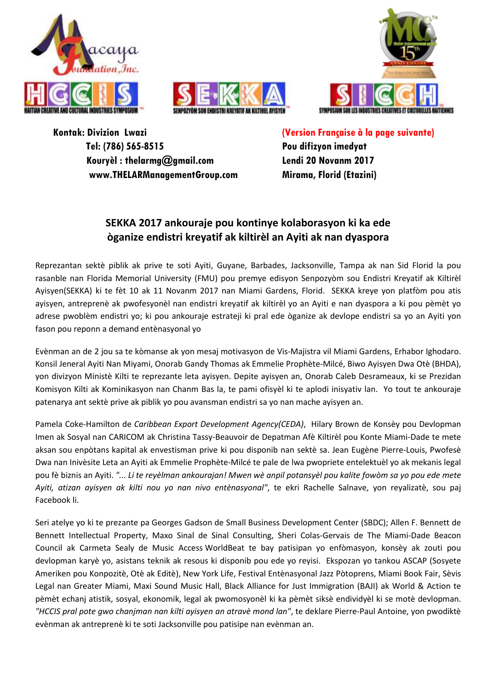





**Kontak: Divizion Lwazi Tel: (786) 565-8515 Kouryèl : thelarmg@gmail.com www.THELARManagementGroup.com**  **(Version Française à la page suivante) Pou difizyon imedyat Lendi 20 Novanm 2017 Mirama, Florid (Etazini)**

## **SEKKA 2017 ankouraje pou kontinye kolaborasyon ki ka ede òganize endistri kreyatif ak kiltirèl an Ayiti ak nan dyaspora**

Reprezantan sektè piblik ak prive te soti Ayiti, Guyane, Barbades, Jacksonville, Tampa ak nan Sid Florid la pou rasanble nan Florida Memorial University (FMU) pou premye edisyon Senpozyòm sou Endistri Kreyatif ak Kiltirèl Ayisyen(SEKKA) ki te fèt 10 ak 11 Novanm 2017 nan Miami Gardens, Florid. SEKKA kreye yon platfòm pou atis ayisyen, antreprenè ak pwofesyonèl nan endistri kreyatif ak kiltirèl yo an Ayiti e nan dyaspora a ki pou pèmèt yo adrese pwoblèm endistri yo; ki pou ankouraje estrateji ki pral ede òganize ak devlope endistri sa yo an Ayiti yon fason pou reponn a demand entènasyonal yo

Evènman an de 2 jou sa te kòmanse ak yon mesaj motivasyon de Vis-Majistra vil Miami Gardens, Erhabor Ighodaro. Konsil Jeneral Ayiti Nan Miyami, Onorab Gandy Thomas ak Emmelie Prophète-Milcé, Biwo Ayisyen Dwa Otè (BHDA), yon divizyon Ministè Kilti te reprezante leta ayisyen. Depite ayisyen an, Onorab Caleb Desrameaux, ki se Prezidan Komisyon Kilti ak Kominikasyon nan Chanm Bas la, te pami ofisyèl ki te aplodi inisyativ lan. Yo tout te ankouraje patenarya ant sektè prive ak piblik yo pou avansman endistri sa yo nan mache ayisyen an.

Pamela Coke-Hamilton de *Caribbean Export Development Agency(CEDA)*, Hilary Brown de Konsèy pou Devlopman Imen ak Sosyal nan CARICOM ak Christina Tassy-Beauvoir de Depatman Afè Kiltirèl pou Konte Miami-Dade te mete aksan sou enpòtans kapital ak envestisman prive ki pou disponib nan sektè sa. Jean Eugène Pierre-Louis, Pwofesè Dwa nan Inivèsite Leta an Ayiti ak Emmelie Prophète-Milcé te pale de lwa pwopriete entelektuèl yo ak mekanis legal pou fè biznis an Ayiti. *"... Li te reyèlman ankourajan! Mwen wè anpil potansyèl pou kalite fowòm sa yo pou ede mete Ayiti, atizan ayisyen ak kilti nou yo nan nivo entènasyonal"*, te ekri Rachelle Salnave, yon reyalizatè, sou paj Facebook li.

Seri atelye yo ki te prezante pa Georges Gadson de Small Business Development Center (SBDC); Allen F. Bennett de Bennett Intellectual Property, Maxo Sinal de Sinal Consulting, Sheri Colas-Gervais de The Miami-Dade Beacon Council ak Carmeta Sealy de Music Access WorldBeat te bay patisipan yo enfòmasyon, konsèy ak zouti pou devlopman karyè yo, asistans teknik ak resous ki disponib pou ede yo reyisi. Ekspozan yo tankou ASCAP (Sosyete Ameriken pou Konpozitè, Otè ak Editè), New York Life, Festival Entènasyonal Jazz Pòtoprens, Miami Book Fair, Sèvis Legal nan Greater Miami, Maxi Sound Music Hall, Black Alliance for Just Immigration (BAJI) ak World & Action te pèmèt echanj atistik, sosyal, ekonomik, legal ak pwomosyonèl ki ka pèmèt siksè endividyèl ki se motè devlopman. *"HCCIS pral pote gwo chanjman nan kilti ayisyen an atravè mond lan"*, te deklare Pierre-Paul Antoine, yon pwodiktè evènman ak antreprenè ki te soti Jacksonville pou patisipe nan evènman an.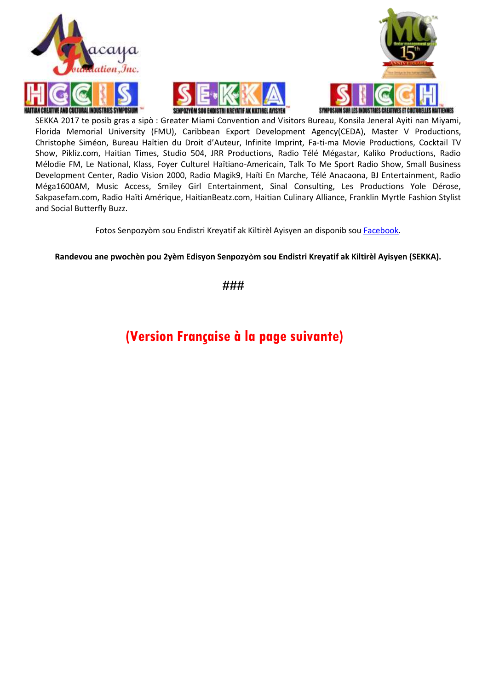





SEKKA 2017 te posib gras a sipò : Greater Miami Convention and Visitors Bureau, Konsila Jeneral Ayiti nan Miyami, Florida Memorial University (FMU), Caribbean Export Development Agency(CEDA), Master V Productions, Christophe Siméon, Bureau Haïtien du Droit d'Auteur, Infinite Imprint, Fa-ti-ma Movie Productions, Cocktail TV Show, Pikliz.com, Haitian Times, Studio 504, JRR Productions, Radio Télé Mégastar, Kaliko Productions, Radio Mélodie FM, Le National, Klass, Foyer Culturel Haïtiano-Americain, Talk To Me Sport Radio Show, Small Business Development Center, Radio Vision 2000, Radio Magik9, Haïti En Marche, Télé Anacaona, BJ Entertainment, Radio Méga1600AM, Music Access, Smiley Girl Entertainment, Sinal Consulting, Les Productions Yole Dérose, Sakpasefam.com, Radio Haïti Amérique, HaitianBeatz.com, Haitian Culinary Alliance, Franklin Myrtle Fashion Stylist and Social Butterfly Buzz.

Fotos Senpozyòm sou Endistri Kreyatif ak Kiltirèl Ayisyen an disponib so[u Facebook.](https://www.facebook.com/events/305733099876116/)

**Randevou ane pwochèn pou 2yèm Edisyon Senpozyòm sou Endistri Kreyatif ak Kiltirèl Ayisyen (SEKKA).**

**###**

## **(Version Française à la page suivante)**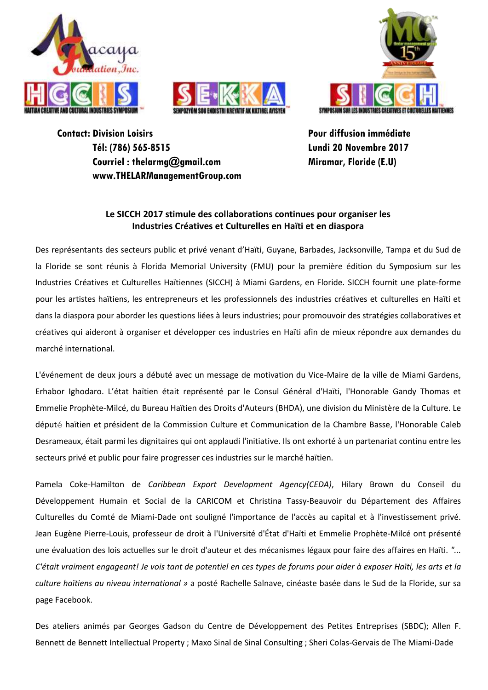





**Contact: Division Loisirs Tél: (786) 565-8515 Courriel : thelarmg@gmail.com www.THELARManagementGroup.com**  **Pour diffusion immédiate Lundi 20 Novembre 2017 Miramar, Floride (E.U)**

### **Le SICCH 2017 stimule des collaborations continues pour organiser les Industries Créatives et Culturelles en Haïti et en diaspora**

Des représentants des secteurs public et privé venant d'Haïti, Guyane, Barbades, Jacksonville, Tampa et du Sud de la Floride se sont réunis à Florida Memorial University (FMU) pour la première édition du Symposium sur les Industries Créatives et Culturelles Haïtiennes (SICCH) à Miami Gardens, en Floride. SICCH fournit une plate-forme pour les artistes haïtiens, les entrepreneurs et les professionnels des industries créatives et culturelles en Haïti et dans la diaspora pour aborder les questions liées à leurs industries; pour promouvoir des stratégies collaboratives et créatives qui aideront à organiser et développer ces industries en Haïti afin de mieux répondre aux demandes du marché international.

L'événement de deux jours a débuté avec un message de motivation du Vice-Maire de la ville de Miami Gardens, Erhabor Ighodaro. L'état haïtien était représenté par le Consul Général d'Haïti, l'Honorable Gandy Thomas et Emmelie Prophète-Milcé, du Bureau Haïtien des Droits d'Auteurs (BHDA), une division du Ministère de la Culture. Le député haïtien et président de la Commission Culture et Communication de la Chambre Basse, l'Honorable Caleb Desrameaux, était parmi les dignitaires qui ont applaudi l'initiative. Ils ont exhorté à un partenariat continu entre les secteurs privé et public pour faire progresser ces industries sur le marché haïtien.

Pamela Coke-Hamilton de *Caribbean Export Development Agency(CEDA)*, Hilary Brown du Conseil du Développement Humain et Social de la CARICOM et Christina Tassy-Beauvoir du Département des Affaires Culturelles du Comté de Miami-Dade ont souligné l'importance de l'accès au capital et à l'investissement privé. Jean Eugène Pierre-Louis, professeur de droit à l'Université d'État d'Haïti et Emmelie Prophète-Milcé ont présenté une évaluation des lois actuelles sur le droit d'auteur et des mécanismes légaux pour faire des affaires en Haïti. *"... C'était vraiment engageant! Je vois tant de potentiel en ces types de forums pour aider à exposer Haïti, les arts et la culture haïtiens au niveau international »* a posté Rachelle Salnave, cinéaste basée dans le Sud de la Floride, sur sa page Facebook.

Des ateliers animés par Georges Gadson du Centre de Développement des Petites Entreprises (SBDC); Allen F. Bennett de Bennett Intellectual Property ; Maxo Sinal de Sinal Consulting ; Sheri Colas-Gervais de The Miami-Dade